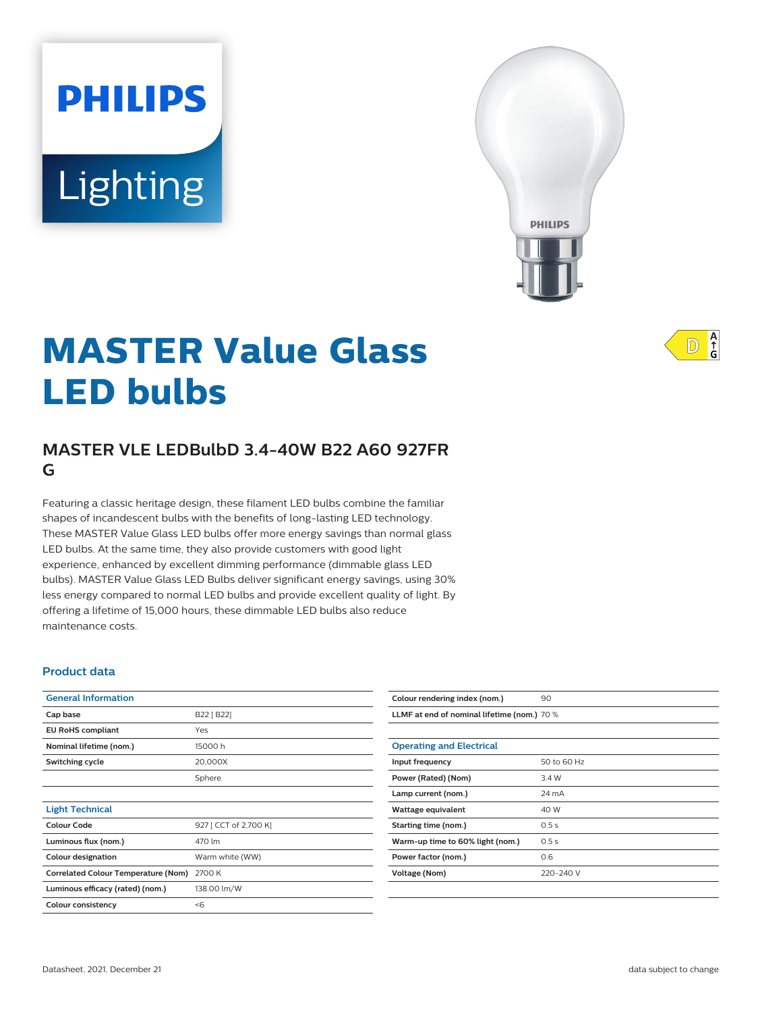# Lighting

**PHILIPS** 



# **MASTER Value Glass LED bulbs**

# **MASTER VLE LEDBulbD 3.4-40W B22 A60 927FR G**

Featuring a classic heritage design, these filament LED bulbs combine the familiar shapes of incandescent bulbs with the benefits of long-lasting LED technology. These MASTER Value Glass LED bulbs offer more energy savings than normal glass LED bulbs. At the same time, they also provide customers with good light experience, enhanced by excellent dimming performance (dimmable glass LED bulbs). MASTER Value Glass LED Bulbs deliver significant energy savings, using 30% less energy compared to normal LED bulbs and provide excellent quality of light. By offering a lifetime of 15,000 hours, these dimmable LED bulbs also reduce maintenance costs.

#### **Product data**

| <b>General Information</b>                 |                       |
|--------------------------------------------|-----------------------|
| Cap base                                   | B22 [ B22]            |
| <b>EU RoHS compliant</b>                   | Yes                   |
| Nominal lifetime (nom.)                    | 15000 h               |
| <b>Switching cycle</b>                     | 20,000X               |
|                                            | Sphere                |
|                                            |                       |
| <b>Light Technical</b>                     |                       |
| Colour Code                                | 927 [ CCT of 2,700 K] |
| Luminous flux (nom.)                       | 470 lm                |
| <b>Colour designation</b>                  | Warm white (WW)       |
| <b>Correlated Colour Temperature (Nom)</b> | 2700 K                |
| Luminous efficacy (rated) (nom.)           | 138.00 lm/W           |
| <b>Colour consistency</b>                  | $<$ 6                 |

| Colour rendering index (nom.)               | 90          |  |
|---------------------------------------------|-------------|--|
| LLMF at end of nominal lifetime (nom.) 70 % |             |  |
|                                             |             |  |
| <b>Operating and Electrical</b>             |             |  |
| Input frequency                             | 50 to 60 Hz |  |
| Power (Rated) (Nom)                         | 3.4 W       |  |
| Lamp current (nom.)                         | 24 mA       |  |
| Wattage equivalent                          | 40 W        |  |
| Starting time (nom.)                        | 0.5s        |  |
| Warm-up time to 60% light (nom.)            | 0.5s        |  |
| Power factor (nom.)                         | 0.6         |  |
| Voltage (Nom)                               | 220-240 V   |  |
|                                             |             |  |

 $A$ <sub>G</sub>  $\mathbb{D}$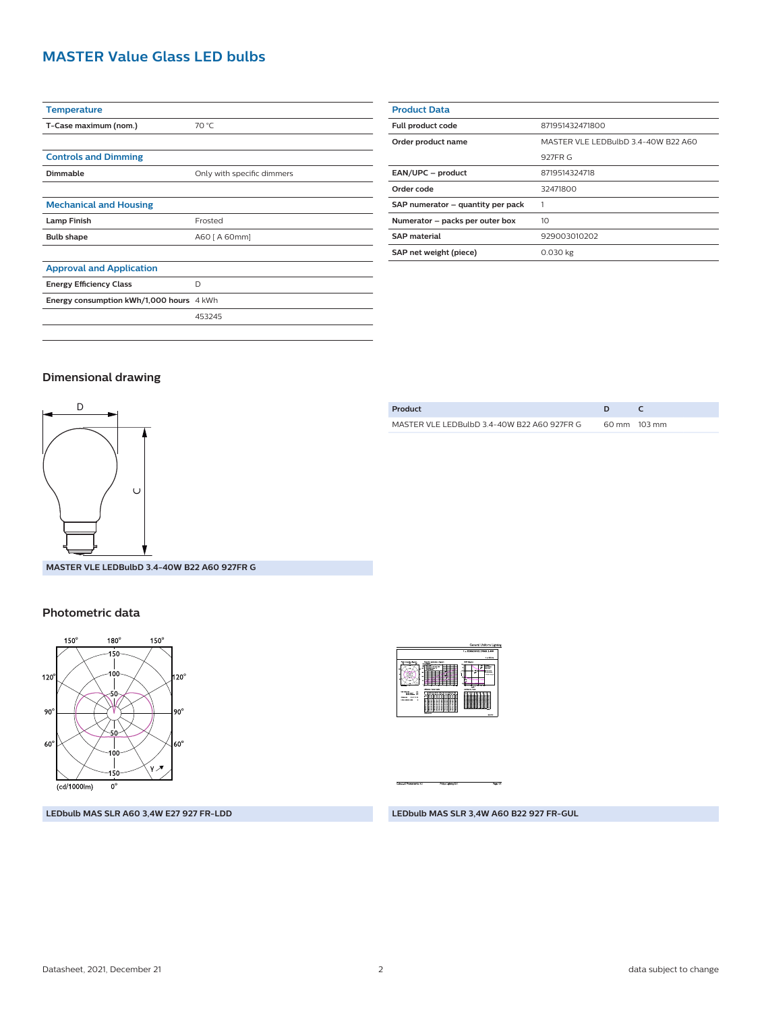# **MASTER Value Glass LED bulbs**

| <b>Temperature</b>                       |                            |
|------------------------------------------|----------------------------|
| T-Case maximum (nom.)                    | 70 °C                      |
|                                          |                            |
| <b>Controls and Dimming</b>              |                            |
| Dimmable                                 | Only with specific dimmers |
|                                          |                            |
| <b>Mechanical and Housing</b>            |                            |
| <b>Lamp Finish</b>                       | Frosted                    |
| <b>Bulb shape</b>                        | A60 [ A 60mm]              |
|                                          |                            |
| <b>Approval and Application</b>          |                            |
| <b>Energy Efficiency Class</b>           | D                          |
| Energy consumption kWh/1,000 hours 4 kWh |                            |
|                                          | 453245                     |
|                                          |                            |

| <b>Product Data</b>               |                                     |  |  |
|-----------------------------------|-------------------------------------|--|--|
| Full product code                 | 871951432471800                     |  |  |
| Order product name                | MASTER VLE LEDBulbD 3.4-40W B22 A60 |  |  |
|                                   | 927FR G                             |  |  |
| EAN/UPC - product                 | 8719514324718                       |  |  |
| Order code                        | 32471800                            |  |  |
| SAP numerator - quantity per pack |                                     |  |  |
| Numerator - packs per outer box   | 10                                  |  |  |
| <b>SAP material</b>               | 929003010202                        |  |  |
| SAP net weight (piece)            | $0.030$ kg                          |  |  |
|                                   |                                     |  |  |

#### **Dimensional drawing**



**MASTER VLE LEDBulbD 3.4-40W B22 A60 927FR G**

#### **Photometric data**



**LEDbulb MAS SLR A60 3,4W E27 927 FR-LDD**

| Product                                     |                        |
|---------------------------------------------|------------------------|
| MASTER VLE LEDBulbD 3.4-40W B22 A60 927FR G | $60 \text{ mm}$ 103 mm |
|                                             |                        |



**LEDbulb MAS SLR 3,4W A60 B22 927 FR-GUL**